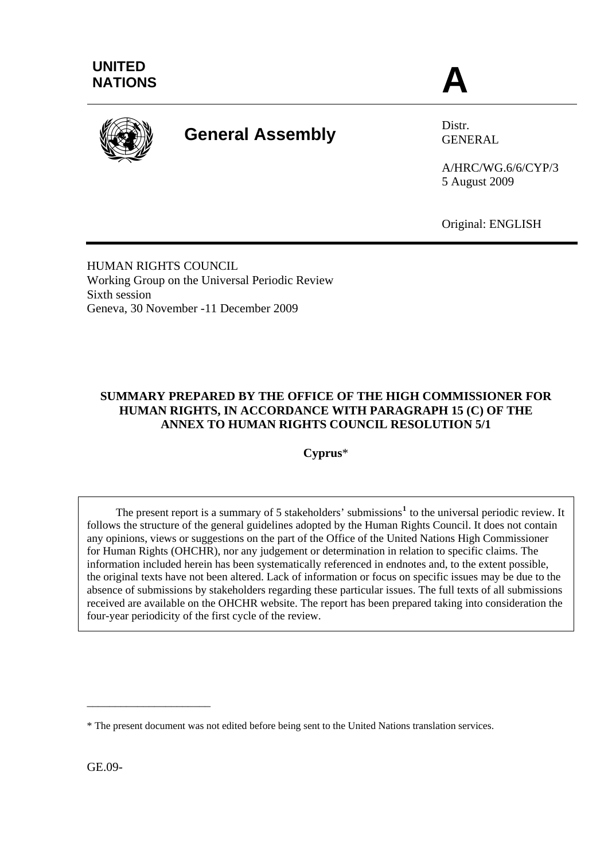

# **General Assembly** Distr.

GENERAL

A/HRC/WG.6/6/CYP/3 5 August 2009

Original: ENGLISH

HUMAN RIGHTS COUNCIL Working Group on the Universal Periodic Review Sixth session Geneva, 30 November -11 December 2009

# **SUMMARY PREPARED BY THE OFFICE OF THE HIGH COMMISSIONER FOR HUMAN RIGHTS, IN ACCORDANCE WITH PARAGRAPH 15 (C) OF THE ANNEX TO HUMAN RIGHTS COUNCIL RESOLUTION 5/1**

**Cyprus**\*

The present report is a summary of 5 stakeholders' submissions<sup>[1](#page-11-0)</sup> to the universal periodic review. It follows the structure of the general guidelines adopted by the Human Rights Council. It does not contain any opinions, views or suggestions on the part of the Office of the United Nations High Commissioner for Human Rights (OHCHR), nor any judgement or determination in relation to specific claims. The information included herein has been systematically referenced in endnotes and, to the extent possible, the original texts have not been altered. Lack of information or focus on specific issues may be due to the absence of submissions by stakeholders regarding these particular issues. The full texts of all submissions received are available on the OHCHR website. The report has been prepared taking into consideration the four-year periodicity of the first cycle of the review.

GE.09-

\_\_\_\_\_\_\_\_\_\_\_\_\_\_\_\_\_\_\_\_\_\_

<sup>\*</sup> The present document was not edited before being sent to the United Nations translation services.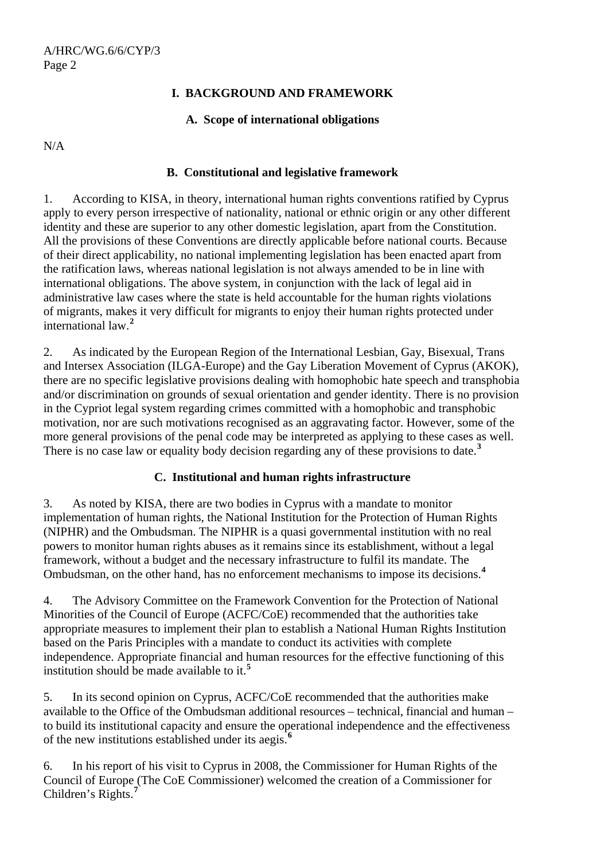## **I. BACKGROUND AND FRAMEWORK**

#### **A. Scope of international obligations**

N/A

#### **B. Constitutional and legislative framework**

1. According to KISA, in theory, international human rights conventions ratified by Cyprus apply to every person irrespective of nationality, national or ethnic origin or any other different identity and these are superior to any other domestic legislation, apart from the Constitution. All the provisions of these Conventions are directly applicable before national courts. Because of their direct applicability, no national implementing legislation has been enacted apart from the ratification laws, whereas national legislation is not always amended to be in line with international obligations. The above system, in conjunction with the lack of legal aid in administrative law cases where the state is held accountable for the human rights violations of migrants, makes it very difficult for migrants to enjoy their human rights protected under international law.**[2](#page-11-1)**

2. As indicated by the European Region of the International Lesbian, Gay, Bisexual, Trans and Intersex Association (ILGA-Europe) and the Gay Liberation Movement of Cyprus (AKOK), there are no specific legislative provisions dealing with homophobic hate speech and transphobia and/or discrimination on grounds of sexual orientation and gender identity. There is no provision in the Cypriot legal system regarding crimes committed with a homophobic and transphobic motivation, nor are such motivations recognised as an aggravating factor. However, some of the more general provisions of the penal code may be interpreted as applying to these cases as well. There is no case law or equality body decision regarding any of these provisions to date.**[3](#page-11-1)**

# **C. Institutional and human rights infrastructure**

3. As noted by KISA, there are two bodies in Cyprus with a mandate to monitor implementation of human rights, the National Institution for the Protection of Human Rights (NIPHR) and the Ombudsman. The NIPHR is a quasi governmental institution with no real powers to monitor human rights abuses as it remains since its establishment, without a legal framework, without a budget and the necessary infrastructure to fulfil its mandate. The Ombudsman, on the other hand, has no enforcement mechanisms to impose its decisions.**[4](#page-11-1)**

4. The Advisory Committee on the Framework Convention for the Protection of National Minorities of the Council of Europe (ACFC/CoE) recommended that the authorities take appropriate measures to implement their plan to establish a National Human Rights Institution based on the Paris Principles with a mandate to conduct its activities with complete independence. Appropriate financial and human resources for the effective functioning of this institution should be made available to it.**[5](#page-11-1)**

5. In its second opinion on Cyprus, ACFC/CoE recommended that the authorities make available to the Office of the Ombudsman additional resources – technical, financial and human – to build its institutional capacity and ensure the operational independence and the effectiveness of the new institutions established under its aegis.**[6](#page-11-1)**

6. In his report of his visit to Cyprus in 2008, the Commissioner for Human Rights of the Council of Europe (The CoE Commissioner) welcomed the creation of a Commissioner for Children's Rights.**[7](#page-11-1)**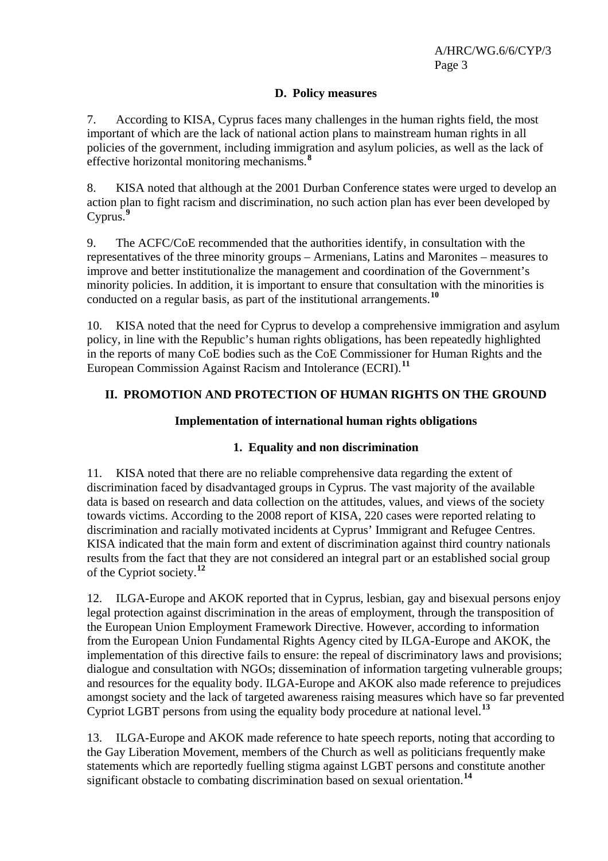# **D. Policy measures**

7. According to KISA, Cyprus faces many challenges in the human rights field, the most important of which are the lack of national action plans to mainstream human rights in all policies of the government, including immigration and asylum policies, as well as the lack of effective horizontal monitoring mechanisms.**[8](#page-11-1)**

8. KISA noted that although at the 2001 Durban Conference states were urged to develop an action plan to fight racism and discrimination, no such action plan has ever been developed by Cyprus.**[9](#page-11-1)**

9. The ACFC/CoE recommended that the authorities identify, in consultation with the representatives of the three minority groups – Armenians, Latins and Maronites – measures to improve and better institutionalize the management and coordination of the Government's minority policies. In addition, it is important to ensure that consultation with the minorities is conducted on a regular basis, as part of the institutional arrangements.**[10](#page-11-1)**

10. KISA noted that the need for Cyprus to develop a comprehensive immigration and asylum policy, in line with the Republic's human rights obligations, has been repeatedly highlighted in the reports of many CoE bodies such as the CoE Commissioner for Human Rights and the European Commission Against Racism and Intolerance (ECRI).**[11](#page-11-1)**

# **II. PROMOTION AND PROTECTION OF HUMAN RIGHTS ON THE GROUND**

## **Implementation of international human rights obligations**

# **1. Equality and non discrimination**

11. KISA noted that there are no reliable comprehensive data regarding the extent of discrimination faced by disadvantaged groups in Cyprus. The vast majority of the available data is based on research and data collection on the attitudes, values, and views of the society towards victims. According to the 2008 report of KISA, 220 cases were reported relating to discrimination and racially motivated incidents at Cyprus' Immigrant and Refugee Centres. KISA indicated that the main form and extent of discrimination against third country nationals results from the fact that they are not considered an integral part or an established social group of the Cypriot society.**[12](#page-11-1)**

12. ILGA-Europe and AKOK reported that in Cyprus, lesbian, gay and bisexual persons enjoy legal protection against discrimination in the areas of employment, through the transposition of the European Union Employment Framework Directive. However, according to information from the European Union Fundamental Rights Agency cited by ILGA-Europe and AKOK, the implementation of this directive fails to ensure: the repeal of discriminatory laws and provisions; dialogue and consultation with NGOs; dissemination of information targeting vulnerable groups; and resources for the equality body. ILGA-Europe and AKOK also made reference to prejudices amongst society and the lack of targeted awareness raising measures which have so far prevented Cypriot LGBT persons from using the equality body procedure at national level.**[13](#page-11-1)**

13. ILGA-Europe and AKOK made reference to hate speech reports, noting that according to the Gay Liberation Movement, members of the Church as well as politicians frequently make statements which are reportedly fuelling stigma against LGBT persons and constitute another significant obstacle to combating discrimination based on sexual orientation.**[14](#page-11-1)**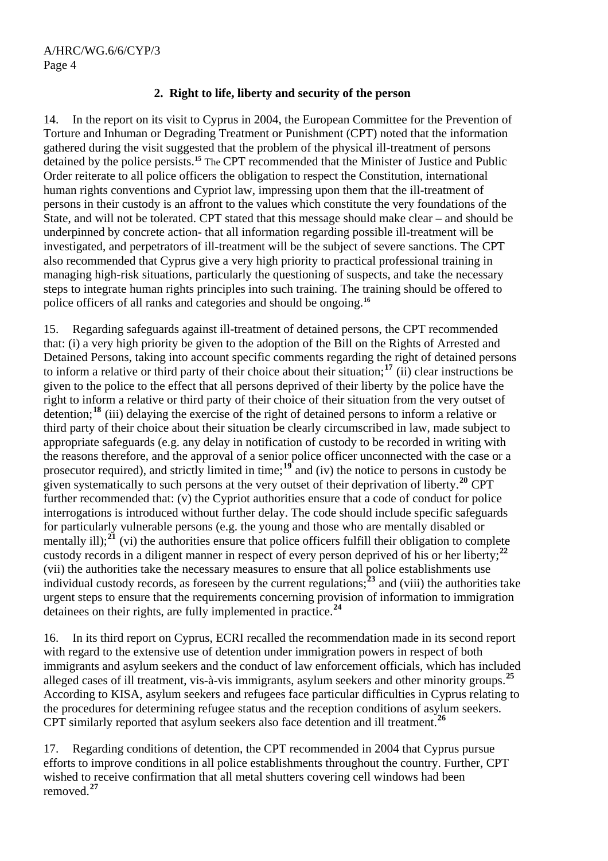## **2. Right to life, liberty and security of the person**

14. In the report on its visit to Cyprus in 2004, the European Committee for the Prevention of Torture and Inhuman or Degrading Treatment or Punishment (CPT) noted that the information gathered during the visit suggested that the problem of the physical ill-treatment of persons detained by the police persists.**[15](#page-11-1)** The CPT recommended that the Minister of Justice and Public Order reiterate to all police officers the obligation to respect the Constitution, international human rights conventions and Cypriot law, impressing upon them that the ill-treatment of persons in their custody is an affront to the values which constitute the very foundations of the State, and will not be tolerated. CPT stated that this message should make clear – and should be underpinned by concrete action- that all information regarding possible ill-treatment will be investigated, and perpetrators of ill-treatment will be the subject of severe sanctions. The CPT also recommended that Cyprus give a very high priority to practical professional training in managing high-risk situations, particularly the questioning of suspects, and take the necessary steps to integrate human rights principles into such training. The training should be offered to police officers of all ranks and categories and should be ongoing.**[16](#page-11-1)**

15. Regarding safeguards against ill-treatment of detained persons, the CPT recommended that: (i) a very high priority be given to the adoption of the Bill on the Rights of Arrested and Detained Persons, taking into account specific comments regarding the right of detained persons to inform a relative or third party of their choice about their situation;**[17](#page-11-1)** (ii) clear instructions be given to the police to the effect that all persons deprived of their liberty by the police have the right to inform a relative or third party of their choice of their situation from the very outset of detention;**[18](#page-11-1)** (iii) delaying the exercise of the right of detained persons to inform a relative or third party of their choice about their situation be clearly circumscribed in law, made subject to appropriate safeguards (e.g. any delay in notification of custody to be recorded in writing with the reasons therefore, and the approval of a senior police officer unconnected with the case or a prosecutor required), and strictly limited in time;**[19](#page-11-1)** and (iv) the notice to persons in custody be given systematically to such persons at the very outset of their deprivation of liberty.**[20](#page-11-1)** CPT further recommended that: (y) the Cypriot authorities ensure that a code of conduct for police interrogations is introduced without further delay. The code should include specific safeguards for particularly vulnerable persons (e.g. the young and those who are mentally disabled or mentally ill); $^{21}$  $^{21}$  $^{21}$  (vi) the authorities ensure that police officers fulfill their obligation to complete custody records in a diligent manner in respect of every person deprived of his or her liberty;**[22](#page-11-1)** (vii) the authorities take the necessary measures to ensure that all police establishments use individual custody records, as foreseen by the current regulations;**[23](#page-11-1)** and (viii) the authorities take urgent steps to ensure that the requirements concerning provision of information to immigration detainees on their rights, are fully implemented in practice.**[24](#page-11-1)**

16. In its third report on Cyprus, ECRI recalled the recommendation made in its second report with regard to the extensive use of detention under immigration powers in respect of both immigrants and asylum seekers and the conduct of law enforcement officials, which has included alleged cases of ill treatment, vis-à-vis immigrants, asylum seekers and other minority groups.**[25](#page-11-1)** According to KISA, asylum seekers and refugees face particular difficulties in Cyprus relating to the procedures for determining refugee status and the reception conditions of asylum seekers. CPT similarly reported that asylum seekers also face detention and ill treatment.**[26](#page-11-1)**

17. Regarding conditions of detention, the CPT recommended in 2004 that Cyprus pursue efforts to improve conditions in all police establishments throughout the country. Further, CPT wished to receive confirmation that all metal shutters covering cell windows had been removed.**[27](#page-11-1)**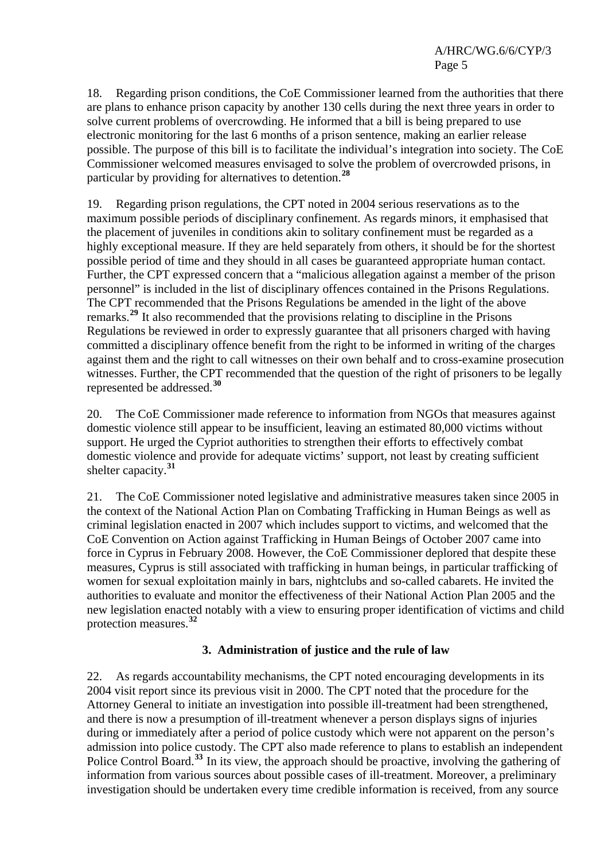A/HRC/WG.6/6/CYP/3 Page 5

18. Regarding prison conditions, the CoE Commissioner learned from the authorities that there are plans to enhance prison capacity by another 130 cells during the next three years in order to solve current problems of overcrowding. He informed that a bill is being prepared to use electronic monitoring for the last 6 months of a prison sentence, making an earlier release possible. The purpose of this bill is to facilitate the individual's integration into society. The CoE Commissioner welcomed measures envisaged to solve the problem of overcrowded prisons, in particular by providing for alternatives to detention.**[28](#page-11-1)**

19. Regarding prison regulations, the CPT noted in 2004 serious reservations as to the maximum possible periods of disciplinary confinement. As regards minors, it emphasised that the placement of juveniles in conditions akin to solitary confinement must be regarded as a highly exceptional measure. If they are held separately from others, it should be for the shortest possible period of time and they should in all cases be guaranteed appropriate human contact. Further, the CPT expressed concern that a "malicious allegation against a member of the prison personnel" is included in the list of disciplinary offences contained in the Prisons Regulations. The CPT recommended that the Prisons Regulations be amended in the light of the above remarks.**[29](#page-11-1)** It also recommended that the provisions relating to discipline in the Prisons Regulations be reviewed in order to expressly guarantee that all prisoners charged with having committed a disciplinary offence benefit from the right to be informed in writing of the charges against them and the right to call witnesses on their own behalf and to cross-examine prosecution witnesses. Further, the CPT recommended that the question of the right of prisoners to be legally represented be addressed.**[30](#page-11-1)**

20. The CoE Commissioner made reference to information from NGOs that measures against domestic violence still appear to be insufficient, leaving an estimated 80,000 victims without support. He urged the Cypriot authorities to strengthen their efforts to effectively combat domestic violence and provide for adequate victims' support, not least by creating sufficient shelter capacity.**[31](#page-11-1)**

21. The CoE Commissioner noted legislative and administrative measures taken since 2005 in the context of the National Action Plan on Combating Trafficking in Human Beings as well as criminal legislation enacted in 2007 which includes support to victims, and welcomed that the CoE Convention on Action against Trafficking in Human Beings of October 2007 came into force in Cyprus in February 2008. However, the CoE Commissioner deplored that despite these measures, Cyprus is still associated with trafficking in human beings, in particular trafficking of women for sexual exploitation mainly in bars, nightclubs and so-called cabarets. He invited the authorities to evaluate and monitor the effectiveness of their National Action Plan 2005 and the new legislation enacted notably with a view to ensuring proper identification of victims and child protection measures.**[32](#page-11-1)**

#### **3. Administration of justice and the rule of law**

22. As regards accountability mechanisms, the CPT noted encouraging developments in its 2004 visit report since its previous visit in 2000. The CPT noted that the procedure for the Attorney General to initiate an investigation into possible ill-treatment had been strengthened, and there is now a presumption of ill-treatment whenever a person displays signs of injuries during or immediately after a period of police custody which were not apparent on the person's admission into police custody. The CPT also made reference to plans to establish an independent Police Control Board.<sup>[33](#page-11-1)</sup> In its view, the approach should be proactive, involving the gathering of information from various sources about possible cases of ill-treatment. Moreover, a preliminary investigation should be undertaken every time credible information is received, from any source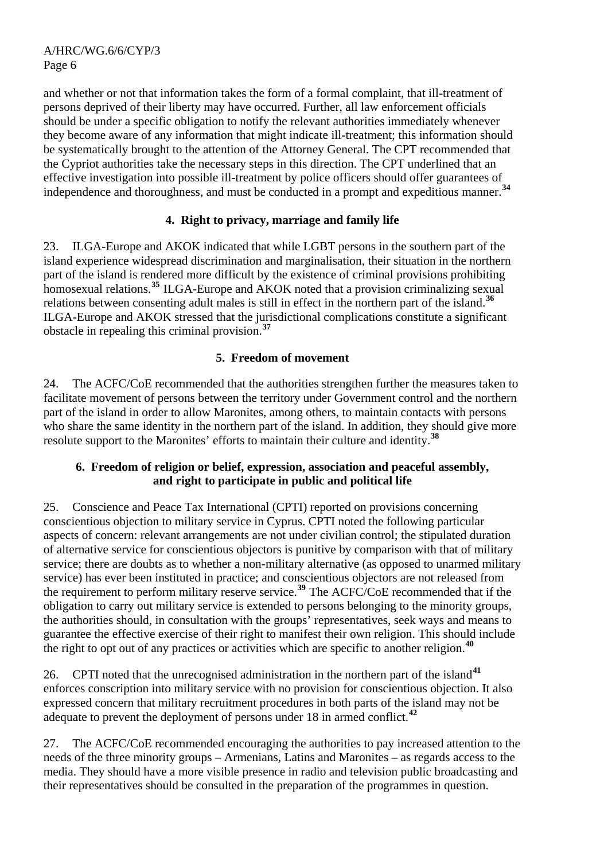and whether or not that information takes the form of a formal complaint, that ill-treatment of persons deprived of their liberty may have occurred. Further, all law enforcement officials should be under a specific obligation to notify the relevant authorities immediately whenever they become aware of any information that might indicate ill-treatment; this information should be systematically brought to the attention of the Attorney General. The CPT recommended that the Cypriot authorities take the necessary steps in this direction. The CPT underlined that an effective investigation into possible ill-treatment by police officers should offer guarantees of independence and thoroughness, and must be conducted in a prompt and expeditious manner.**[34](#page-11-1)**

# **4. Right to privacy, marriage and family life**

23. ILGA-Europe and AKOK indicated that while LGBT persons in the southern part of the island experience widespread discrimination and marginalisation, their situation in the northern part of the island is rendered more difficult by the existence of criminal provisions prohibiting homosexual relations.<sup>[35](#page-11-1)</sup> ILGA-Europe and AKOK noted that a provision criminalizing sexual relations between consenting adult males is still in effect in the northern part of the island.**[36](#page-11-1)** ILGA-Europe and AKOK stressed that the jurisdictional complications constitute a significant obstacle in repealing this criminal provision.**[37](#page-11-1)**

# **5. Freedom of movement**

24. The ACFC/CoE recommended that the authorities strengthen further the measures taken to facilitate movement of persons between the territory under Government control and the northern part of the island in order to allow Maronites, among others, to maintain contacts with persons who share the same identity in the northern part of the island. In addition, they should give more resolute support to the Maronites' efforts to maintain their culture and identity.**[38](#page-11-1)**

## **6. Freedom of religion or belief, expression, association and peaceful assembly, and right to participate in public and political life**

25. Conscience and Peace Tax International (CPTI) reported on provisions concerning conscientious objection to military service in Cyprus. CPTI noted the following particular aspects of concern: relevant arrangements are not under civilian control; the stipulated duration of alternative service for conscientious objectors is punitive by comparison with that of military service; there are doubts as to whether a non-military alternative (as opposed to unarmed military service) has ever been instituted in practice; and conscientious objectors are not released from the requirement to perform military reserve service.**[39](#page-11-1)** The ACFC/CoE recommended that if the obligation to carry out military service is extended to persons belonging to the minority groups, the authorities should, in consultation with the groups' representatives, seek ways and means to guarantee the effective exercise of their right to manifest their own religion. This should include the right to opt out of any practices or activities which are specific to another religion.**[40](#page-11-1)**

26. CPTI noted that the unrecognised administration in the northern part of the island**[41](#page-11-1)** enforces conscription into military service with no provision for conscientious objection. It also expressed concern that military recruitment procedures in both parts of the island may not be adequate to prevent the deployment of persons under 18 in armed conflict.**[42](#page-11-1)**

27. The ACFC/CoE recommended encouraging the authorities to pay increased attention to the needs of the three minority groups – Armenians, Latins and Maronites – as regards access to the media. They should have a more visible presence in radio and television public broadcasting and their representatives should be consulted in the preparation of the programmes in question.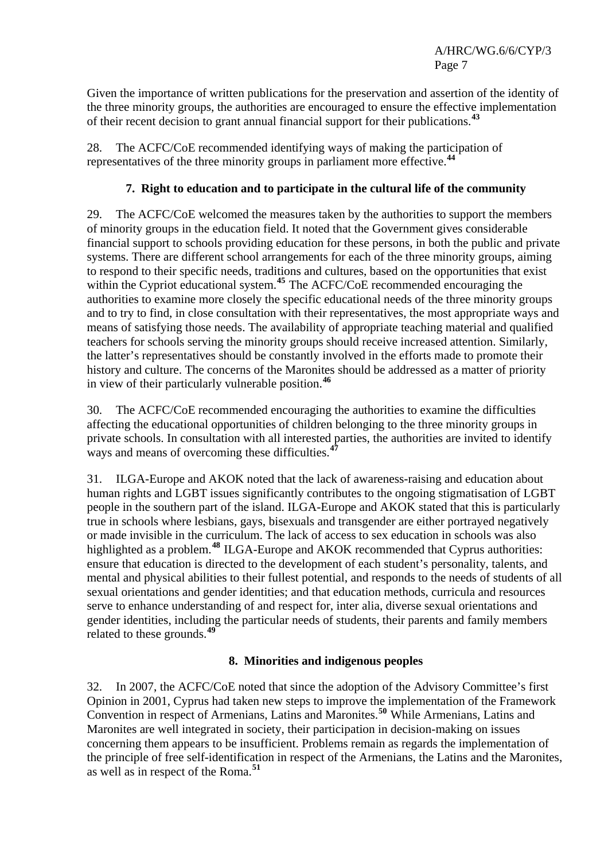Given the importance of written publications for the preservation and assertion of the identity of the three minority groups, the authorities are encouraged to ensure the effective implementation of their recent decision to grant annual financial support for their publications.**[43](#page-11-1)**

28. The ACFC/CoE recommended identifying ways of making the participation of representatives of the three minority groups in parliament more effective.**[44](#page-11-1)**

# **7. Right to education and to participate in the cultural life of the community**

29. The ACFC/CoE welcomed the measures taken by the authorities to support the members of minority groups in the education field. It noted that the Government gives considerable financial support to schools providing education for these persons, in both the public and private systems. There are different school arrangements for each of the three minority groups, aiming to respond to their specific needs, traditions and cultures, based on the opportunities that exist within the Cypriot educational system.<sup>[45](#page-11-1)</sup> The ACFC/CoE recommended encouraging the authorities to examine more closely the specific educational needs of the three minority groups and to try to find, in close consultation with their representatives, the most appropriate ways and means of satisfying those needs. The availability of appropriate teaching material and qualified teachers for schools serving the minority groups should receive increased attention. Similarly, the latter's representatives should be constantly involved in the efforts made to promote their history and culture. The concerns of the Maronites should be addressed as a matter of priority in view of their particularly vulnerable position.**[46](#page-11-1)**

30. The ACFC/CoE recommended encouraging the authorities to examine the difficulties affecting the educational opportunities of children belonging to the three minority groups in private schools. In consultation with all interested parties, the authorities are invited to identify ways and means of overcoming these difficulties.<sup>[47](#page-11-1)</sup>

31. ILGA-Europe and AKOK noted that the lack of awareness-raising and education about human rights and LGBT issues significantly contributes to the ongoing stigmatisation of LGBT people in the southern part of the island. ILGA-Europe and AKOK stated that this is particularly true in schools where lesbians, gays, bisexuals and transgender are either portrayed negatively or made invisible in the curriculum. The lack of access to sex education in schools was also highlighted as a problem.**[48](#page-11-1)** ILGA-Europe and AKOK recommended that Cyprus authorities: ensure that education is directed to the development of each student's personality, talents, and mental and physical abilities to their fullest potential, and responds to the needs of students of all sexual orientations and gender identities; and that education methods, curricula and resources serve to enhance understanding of and respect for, inter alia, diverse sexual orientations and gender identities, including the particular needs of students, their parents and family members related to these grounds.**[49](#page-11-1)**

# **8. Minorities and indigenous peoples**

32. In 2007, the ACFC/CoE noted that since the adoption of the Advisory Committee's first Opinion in 2001, Cyprus had taken new steps to improve the implementation of the Framework Convention in respect of Armenians, Latins and Maronites.**[50](#page-11-1)** While Armenians, Latins and Maronites are well integrated in society, their participation in decision-making on issues concerning them appears to be insufficient. Problems remain as regards the implementation of the principle of free self-identification in respect of the Armenians, the Latins and the Maronites, as well as in respect of the Roma.**[51](#page-11-1)**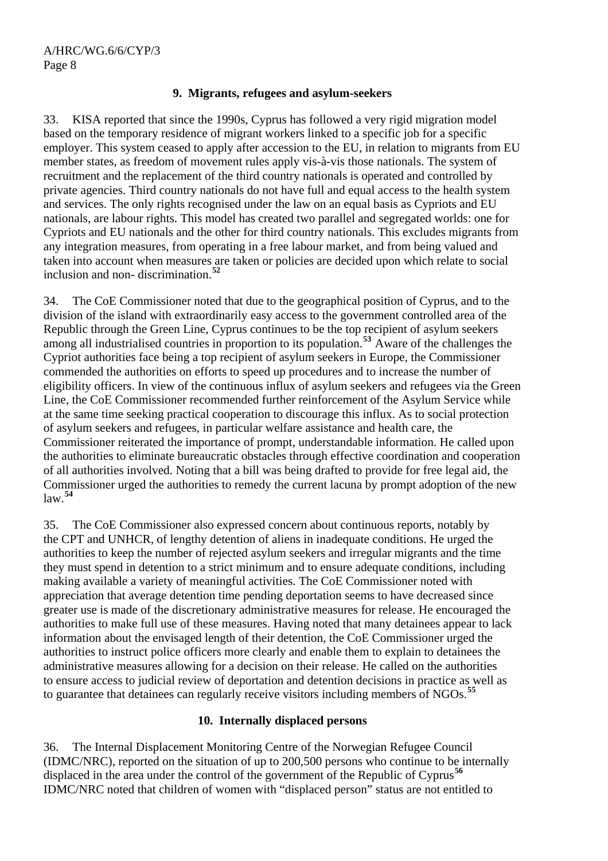#### **9. Migrants, refugees and asylum-seekers**

33. KISA reported that since the 1990s, Cyprus has followed a very rigid migration model based on the temporary residence of migrant workers linked to a specific job for a specific employer. This system ceased to apply after accession to the EU, in relation to migrants from EU member states, as freedom of movement rules apply vis-à-vis those nationals. The system of recruitment and the replacement of the third country nationals is operated and controlled by private agencies. Third country nationals do not have full and equal access to the health system and services. The only rights recognised under the law on an equal basis as Cypriots and EU nationals, are labour rights. This model has created two parallel and segregated worlds: one for Cypriots and EU nationals and the other for third country nationals. This excludes migrants from any integration measures, from operating in a free labour market, and from being valued and taken into account when measures are taken or policies are decided upon which relate to social inclusion and non- discrimination.**[52](#page-11-1)**

34. The CoE Commissioner noted that due to the geographical position of Cyprus, and to the division of the island with extraordinarily easy access to the government controlled area of the Republic through the Green Line, Cyprus continues to be the top recipient of asylum seekers among all industrialised countries in proportion to its population.**[53](#page-11-1)** Aware of the challenges the Cypriot authorities face being a top recipient of asylum seekers in Europe, the Commissioner commended the authorities on efforts to speed up procedures and to increase the number of eligibility officers. In view of the continuous influx of asylum seekers and refugees via the Green Line, the CoE Commissioner recommended further reinforcement of the Asylum Service while at the same time seeking practical cooperation to discourage this influx. As to social protection of asylum seekers and refugees, in particular welfare assistance and health care, the Commissioner reiterated the importance of prompt, understandable information. He called upon the authorities to eliminate bureaucratic obstacles through effective coordination and cooperation of all authorities involved. Noting that a bill was being drafted to provide for free legal aid, the Commissioner urged the authorities to remedy the current lacuna by prompt adoption of the new law.**[54](#page-11-1)**

35. The CoE Commissioner also expressed concern about continuous reports, notably by the CPT and UNHCR, of lengthy detention of aliens in inadequate conditions. He urged the authorities to keep the number of rejected asylum seekers and irregular migrants and the time they must spend in detention to a strict minimum and to ensure adequate conditions, including making available a variety of meaningful activities. The CoE Commissioner noted with appreciation that average detention time pending deportation seems to have decreased since greater use is made of the discretionary administrative measures for release. He encouraged the authorities to make full use of these measures. Having noted that many detainees appear to lack information about the envisaged length of their detention, the CoE Commissioner urged the authorities to instruct police officers more clearly and enable them to explain to detainees the administrative measures allowing for a decision on their release. He called on the authorities to ensure access to judicial review of deportation and detention decisions in practice as well as to guarantee that detainees can regularly receive visitors including members of NGOs.**[55](#page-11-1)**

#### **10. Internally displaced persons**

36. The Internal Displacement Monitoring Centre of the Norwegian Refugee Council (IDMC/NRC), reported on the situation of up to 200,500 persons who continue to be internally displaced in the area under the control of the government of the Republic of Cyprus<sup>[56](#page-11-1)</sup> IDMC/NRC noted that children of women with "displaced person" status are not entitled to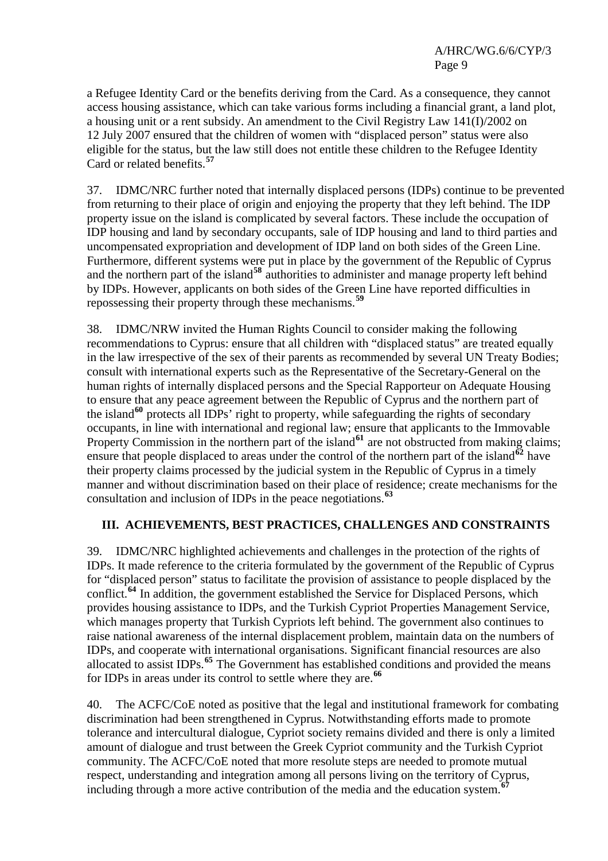A/HRC/WG.6/6/CYP/3 Page 9

a Refugee Identity Card or the benefits deriving from the Card. As a consequence, they cannot access housing assistance, which can take various forms including a financial grant, a land plot, a housing unit or a rent subsidy. An amendment to the Civil Registry Law 141(I)/2002 on 12 July 2007 ensured that the children of women with "displaced person" status were also eligible for the status, but the law still does not entitle these children to the Refugee Identity Card or related benefits.**[57](#page-11-1)**

37. IDMC/NRC further noted that internally displaced persons (IDPs) continue to be prevented from returning to their place of origin and enjoying the property that they left behind. The IDP property issue on the island is complicated by several factors. These include the occupation of IDP housing and land by secondary occupants, sale of IDP housing and land to third parties and uncompensated expropriation and development of IDP land on both sides of the Green Line. Furthermore, different systems were put in place by the government of the Republic of Cyprus and the northern part of the island<sup>[58](#page-11-1)</sup> authorities to administer and manage property left behind by IDPs. However, applicants on both sides of the Green Line have reported difficulties in repossessing their property through these mechanisms.**[59](#page-11-1)**

38. IDMC/NRW invited the Human Rights Council to consider making the following recommendations to Cyprus: ensure that all children with "displaced status" are treated equally in the law irrespective of the sex of their parents as recommended by several UN Treaty Bodies; consult with international experts such as the Representative of the Secretary-General on the human rights of internally displaced persons and the Special Rapporteur on Adequate Housing to ensure that any peace agreement between the Republic of Cyprus and the northern part of the island**[60](#page-11-1)** protects all IDPs' right to property, while safeguarding the rights of secondary occupants, in line with international and regional law; ensure that applicants to the Immovable Property Commission in the northern part of the island<sup>[61](#page-11-1)</sup> are not obstructed from making claims; ensure that people displaced to areas under the control of the northern part of the island<sup> $62$ </sup> have their property claims processed by the judicial system in the Republic of Cyprus in a timely manner and without discrimination based on their place of residence; create mechanisms for the consultation and inclusion of IDPs in the peace negotiations.**[63](#page-11-1)**

#### **III. ACHIEVEMENTS, BEST PRACTICES, CHALLENGES AND CONSTRAINTS**

39. IDMC/NRC highlighted achievements and challenges in the protection of the rights of IDPs. It made reference to the criteria formulated by the government of the Republic of Cyprus for "displaced person" status to facilitate the provision of assistance to people displaced by the conflict.<sup>[64](#page-11-1)</sup> In addition, the government established the Service for Displaced Persons, which provides housing assistance to IDPs, and the Turkish Cypriot Properties Management Service, which manages property that Turkish Cypriots left behind. The government also continues to raise national awareness of the internal displacement problem, maintain data on the numbers of IDPs, and cooperate with international organisations. Significant financial resources are also allocated to assist IDPs.**[65](#page-11-1)** The Government has established conditions and provided the means for IDPs in areas under its control to settle where they are.**[66](#page-11-1)**

40. The ACFC/CoE noted as positive that the legal and institutional framework for combating discrimination had been strengthened in Cyprus. Notwithstanding efforts made to promote tolerance and intercultural dialogue, Cypriot society remains divided and there is only a limited amount of dialogue and trust between the Greek Cypriot community and the Turkish Cypriot community. The ACFC/CoE noted that more resolute steps are needed to promote mutual respect, understanding and integration among all persons living on the territory of Cyprus, including through a more active contribution of the media and the education system.**[67](#page-11-1)**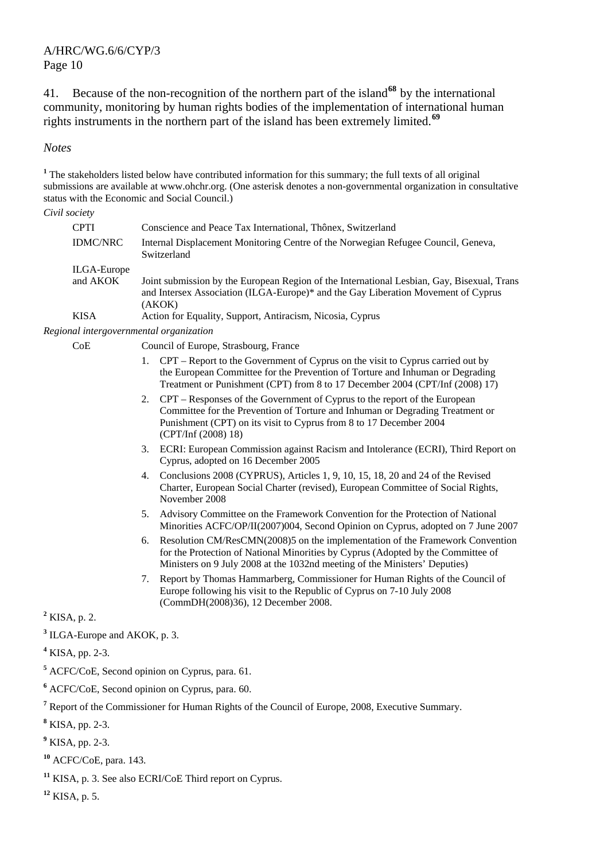41. Because of the non-recognition of the northern part of the island**[68](#page-11-1)** by the international community, monitoring by human rights bodies of the implementation of international human rights instruments in the northern part of the island has been extremely limited.**[69](#page-11-2)**

*Notes* 

<sup>1</sup> The stakeholders listed below have contributed information for this summary; the full texts of all original submissions are available at [www.ohchr.org.](http://www.ohchr.org/) (One asterisk denotes a non-governmental organization in consultative status with the Economic and Social Council.)

*Civil society* 

| CPTI        | Conscience and Peace Tax International, Thônex, Switzerland                                                                                                                               |
|-------------|-------------------------------------------------------------------------------------------------------------------------------------------------------------------------------------------|
| IDMC/NRC    | Internal Displacement Monitoring Centre of the Norwegian Refugee Council, Geneva,<br>Switzerland                                                                                          |
| ILGA-Europe |                                                                                                                                                                                           |
| and AKOK    | Joint submission by the European Region of the International Lesbian, Gay, Bisexual, Trans<br>and Intersex Association (ILGA-Europe)* and the Gay Liberation Movement of Cyprus<br>(AKOK) |
| KISA        | Action for Equality, Support, Antiracism, Nicosia, Cyprus                                                                                                                                 |
|             |                                                                                                                                                                                           |

*Regional intergovernmental organization* 

CoE Council of Europe, Strasbourg, France

- 1. CPT Report to the Government of Cyprus on the visit to Cyprus carried out by the European Committee for the Prevention of Torture and Inhuman or Degrading Treatment or Punishment (CPT) from 8 to 17 December 2004 (CPT/Inf (2008) 17)
- 2. CPT Responses of the Government of Cyprus to the report of the European Committee for the Prevention of Torture and Inhuman or Degrading Treatment or Punishment (CPT) on its visit to Cyprus from 8 to 17 December 2004 (CPT/Inf (2008) 18)
- 3. ECRI: European Commission against Racism and Intolerance (ECRI), Third Report on Cyprus, adopted on 16 December 2005
- 4. Conclusions 2008 (CYPRUS), Articles 1, 9, 10, 15, 18, 20 and 24 of the Revised Charter, European Social Charter (revised), European Committee of Social Rights, November 2008
- 5. Advisory Committee on the Framework Convention for the Protection of National Minorities ACFC/OP/II(2007)004, Second Opinion on Cyprus, adopted on 7 June 2007
- 6. Resolution CM/ResCMN(2008)5 on the implementation of the Framework Convention for the Protection of National Minorities by Cyprus (Adopted by the Committee of Ministers on 9 July 2008 at the 1032nd meeting of the Ministers' Deputies)
- 7. Report by Thomas Hammarberg, Commissioner for Human Rights of the Council of Europe following his visit to the Republic of Cyprus on 7-10 July 2008 (CommDH(2008)36), 12 December 2008.

**2** KISA, p. 2.

**3** ILGA-Europe and AKOK, p. 3.

- **5** ACFC/CoE, Second opinion on Cyprus, para. 61.
- **6** ACFC/CoE, Second opinion on Cyprus, para. 60.
- <sup>7</sup> Report of the Commissioner for Human Rights of the Council of Europe, 2008, Executive Summary.
- **8** KISA, pp. 2-3.

**<sup>10</sup>** ACFC/CoE, para. 143.

**<sup>11</sup>** KISA, p. 3. See also ECRI/CoE Third report on Cyprus.

**<sup>12</sup>** KISA, p. 5.

**<sup>4</sup>** KISA, pp. 2-3.

**<sup>9</sup>** KISA, pp. 2-3.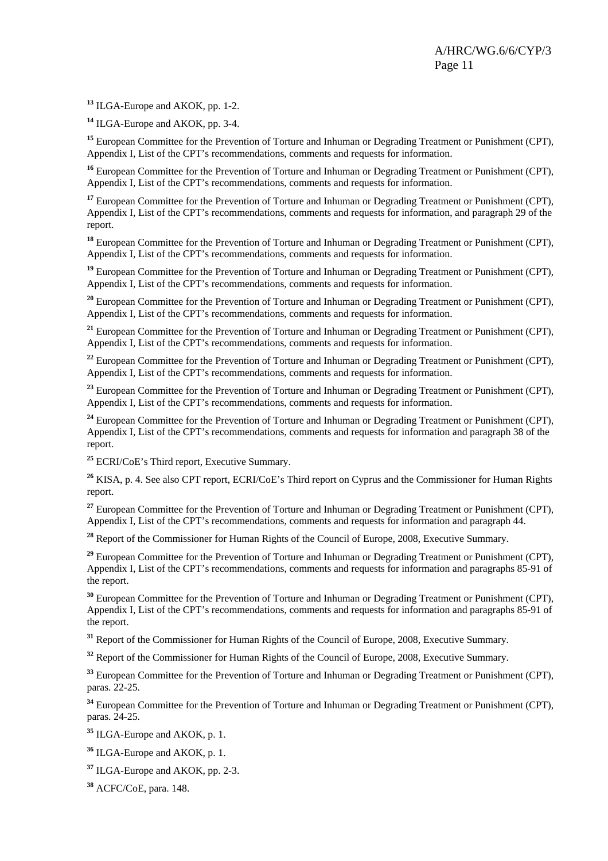**<sup>13</sup>** ILGA-Europe and AKOK, pp. 1-2.

**<sup>14</sup>** ILGA-Europe and AKOK, pp. 3-4.

**<sup>15</sup>** European Committee for the Prevention of Torture and Inhuman or Degrading Treatment or Punishment (CPT), Appendix I, List of the CPT's recommendations, comments and requests for information.

<sup>16</sup> European Committee for the Prevention of Torture and Inhuman or Degrading Treatment or Punishment (CPT), Appendix I, List of the CPT's recommendations, comments and requests for information.

<sup>17</sup> European Committee for the Prevention of Torture and Inhuman or Degrading Treatment or Punishment (CPT), Appendix I, List of the CPT's recommendations, comments and requests for information, and paragraph 29 of the report.

**<sup>18</sup>** European Committee for the Prevention of Torture and Inhuman or Degrading Treatment or Punishment (CPT), Appendix I, List of the CPT's recommendations, comments and requests for information.

<sup>19</sup> European Committee for the Prevention of Torture and Inhuman or Degrading Treatment or Punishment (CPT), Appendix I, List of the CPT's recommendations, comments and requests for information.

<sup>20</sup> European Committee for the Prevention of Torture and Inhuman or Degrading Treatment or Punishment (CPT), Appendix I, List of the CPT's recommendations, comments and requests for information.

<sup>21</sup> European Committee for the Prevention of Torture and Inhuman or Degrading Treatment or Punishment (CPT), Appendix I, List of the CPT's recommendations, comments and requests for information.

<sup>22</sup> European Committee for the Prevention of Torture and Inhuman or Degrading Treatment or Punishment (CPT), Appendix I, List of the CPT's recommendations, comments and requests for information.

<sup>23</sup> European Committee for the Prevention of Torture and Inhuman or Degrading Treatment or Punishment (CPT), Appendix I, List of the CPT's recommendations, comments and requests for information.

<sup>24</sup> European Committee for the Prevention of Torture and Inhuman or Degrading Treatment or Punishment (CPT), Appendix I, List of the CPT's recommendations, comments and requests for information and paragraph 38 of the report.

**<sup>25</sup>** ECRI/CoE's Third report, Executive Summary.

**<sup>26</sup>** KISA, p. 4. See also CPT report, ECRI/CoE's Third report on Cyprus and the Commissioner for Human Rights report.

<sup>27</sup> European Committee for the Prevention of Torture and Inhuman or Degrading Treatment or Punishment (CPT), Appendix I, List of the CPT's recommendations, comments and requests for information and paragraph 44.

<sup>28</sup> Report of the Commissioner for Human Rights of the Council of Europe, 2008, Executive Summary.

<sup>29</sup> European Committee for the Prevention of Torture and Inhuman or Degrading Treatment or Punishment (CPT), Appendix I, List of the CPT's recommendations, comments and requests for information and paragraphs 85-91 of the report.

**<sup>30</sup>** European Committee for the Prevention of Torture and Inhuman or Degrading Treatment or Punishment (CPT), Appendix I, List of the CPT's recommendations, comments and requests for information and paragraphs 85-91 of the report.

<sup>31</sup> Report of the Commissioner for Human Rights of the Council of Europe, 2008, Executive Summary.

<sup>32</sup> Report of the Commissioner for Human Rights of the Council of Europe, 2008, Executive Summary.

**<sup>33</sup>** European Committee for the Prevention of Torture and Inhuman or Degrading Treatment or Punishment (CPT), paras. 22-25.

**<sup>34</sup>** European Committee for the Prevention of Torture and Inhuman or Degrading Treatment or Punishment (CPT), paras. 24-25.

**<sup>35</sup>** ILGA-Europe and AKOK, p. 1.

- **<sup>36</sup>** ILGA-Europe and AKOK, p. 1.
- **<sup>37</sup>** ILGA-Europe and AKOK, pp. 2-3.

**<sup>38</sup>** ACFC/CoE, para. 148.